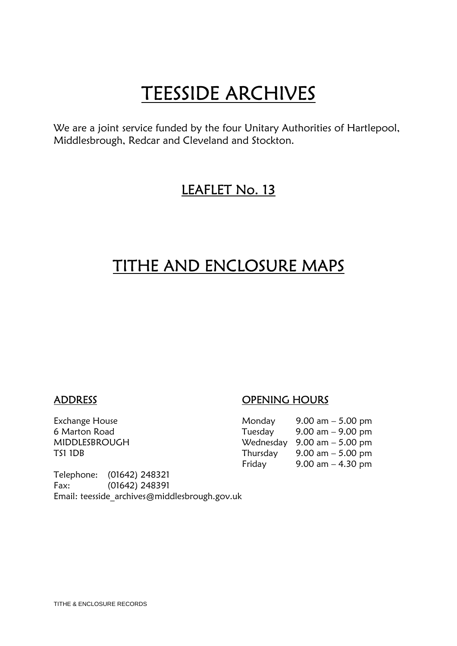# **TEESSIDE ARCHIVES**<br>We are a joint service funded by the four Unitary Authorities of Hartlepool,

Middlesbrough, Redcar and Cleveland and Stockton.

### LEAFLET No. 13

### TITHE AND ENCLOSURE MAPS

Telephone: (01642) 248321 Fax: (01642) 248391 Email: teesside\_archives@middlesbrough.gov.uk

#### ADDRESS OPENING HOURS

| Exchange House | Monday   | 9.00 am $-$ 5.00 pm                           |
|----------------|----------|-----------------------------------------------|
| 6 Marton Road  | Tuesday  | $9.00 \text{ am} - 9.00 \text{ pm}$           |
| MIDDLESBROUGH  |          | Wednesday $9.00 \text{ am} - 5.00 \text{ pm}$ |
| TS1 1DB        | Thursday | 9.00 am $-$ 5.00 pm                           |
|                | Friday   | 9.00 am $-$ 4.30 pm                           |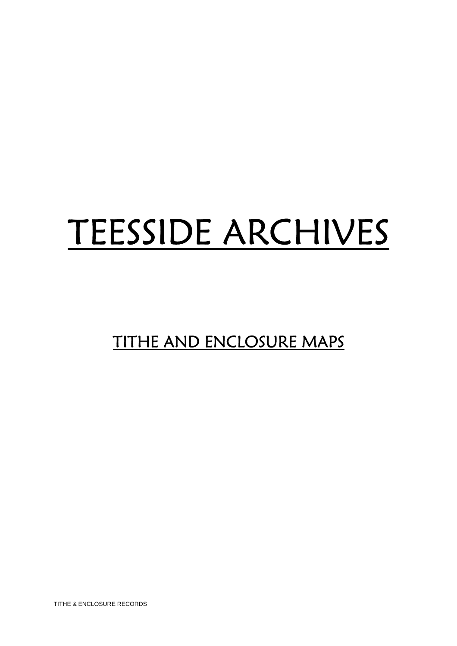# TEESSIDE ARCHIVES

## TITHE AND ENCLOSURE MAPS

TITHE & ENCLOSURE RECORDS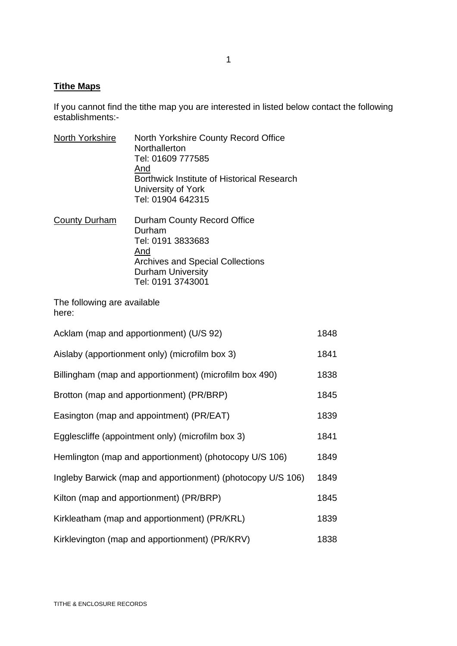#### **Tithe Maps**

If you cannot find the tithe map you are interested in listed below contact the following establishments:-

| North Yorkshire                                             | North Yorkshire County Record Office<br>Northallerton<br>Tel: 01609 777585<br>And<br><b>Borthwick Institute of Historical Research</b><br>University of York<br>Tel: 01904 642315 |      |
|-------------------------------------------------------------|-----------------------------------------------------------------------------------------------------------------------------------------------------------------------------------|------|
| <b>County Durham</b>                                        | Durham County Record Office<br>Durham<br>Tel: 0191 3833683<br>And<br><b>Archives and Special Collections</b><br><b>Durham University</b><br>Tel: 0191 3743001                     |      |
| The following are available<br>here:                        |                                                                                                                                                                                   |      |
| Acklam (map and apportionment) (U/S 92)                     |                                                                                                                                                                                   | 1848 |
| Aislaby (apportionment only) (microfilm box 3)              |                                                                                                                                                                                   | 1841 |
| Billingham (map and apportionment) (microfilm box 490)      |                                                                                                                                                                                   | 1838 |
| Brotton (map and apportionment) (PR/BRP)                    |                                                                                                                                                                                   | 1845 |
| Easington (map and appointment) (PR/EAT)                    |                                                                                                                                                                                   | 1839 |
| Egglescliffe (appointment only) (microfilm box 3)           |                                                                                                                                                                                   | 1841 |
| Hemlington (map and apportionment) (photocopy U/S 106)      |                                                                                                                                                                                   | 1849 |
| Ingleby Barwick (map and apportionment) (photocopy U/S 106) |                                                                                                                                                                                   | 1849 |
| Kilton (map and apportionment) (PR/BRP)                     |                                                                                                                                                                                   | 1845 |
| Kirkleatham (map and apportionment) (PR/KRL)                |                                                                                                                                                                                   | 1839 |
| Kirklevington (map and apportionment) (PR/KRV)              |                                                                                                                                                                                   |      |